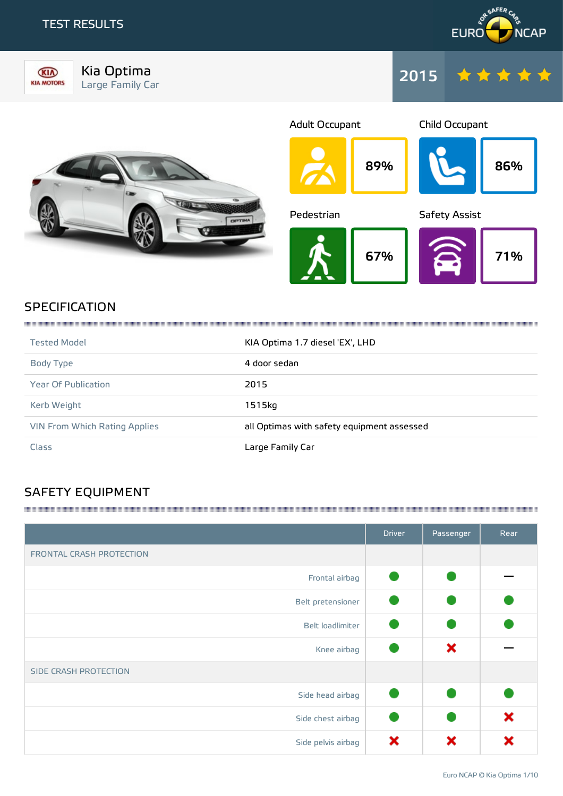### TEST RESULTS





Kia Optima Large Family Car







## **SPECIFICATION**

| <b>Tested Model</b>                  | KIA Optima 1.7 diesel 'EX', LHD            |
|--------------------------------------|--------------------------------------------|
| Body Type                            | 4 door sedan                               |
| <b>Year Of Publication</b>           | 2015                                       |
| Kerb Weight                          | 1515kg                                     |
| <b>VIN From Which Rating Applies</b> | all Optimas with safety equipment assessed |
| Class                                | Large Family Car                           |

## SAFETY EQUIPMENT

|                          | <b>Driver</b> | Passenger | Rear |
|--------------------------|---------------|-----------|------|
| FRONTAL CRASH PROTECTION |               |           |      |
| Frontal airbag           |               |           |      |
| Belt pretensioner        |               |           |      |
| Belt loadlimiter         |               |           |      |
| Knee airbag              |               | ×         |      |
| SIDE CRASH PROTECTION    |               |           |      |
| Side head airbag         |               |           |      |
| Side chest airbag        |               |           | ×    |
| Side pelvis airbag       | ×             | x         |      |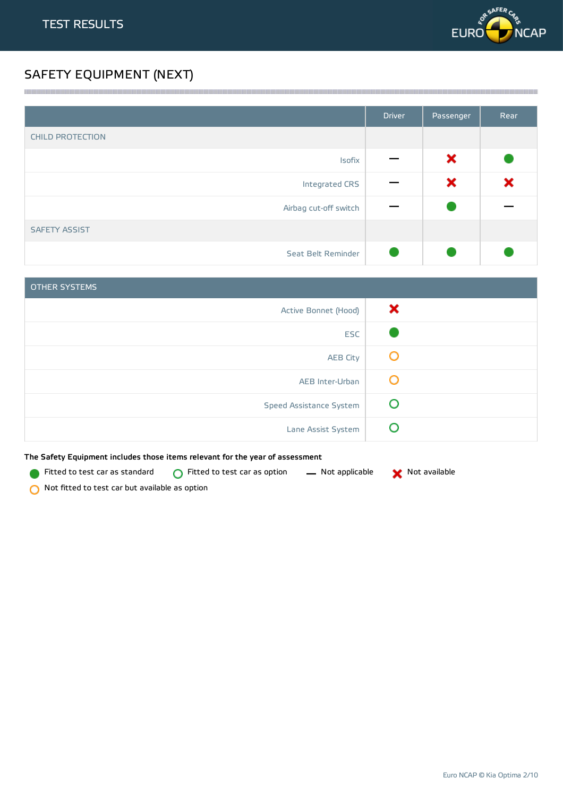

## SAFETY EQUIPMENT (NEXT)

|                         | <b>Driver</b> | Passenger | Rear |
|-------------------------|---------------|-----------|------|
| <b>CHILD PROTECTION</b> |               |           |      |
| Isofix                  |               | ×         |      |
| Integrated CRS          |               | ×         | ×    |
| Airbag cut-off switch   |               |           |      |
| <b>SAFETY ASSIST</b>    |               |           |      |
| Seat Belt Reminder      |               |           |      |

<u> 1989 - Andrea Stadt Stadt Stadt Stadt Stadt Stadt Stadt Stadt Stadt Stadt Stadt Stadt Stadt Stadt Stadt Stadt Stadt Stadt Stadt Stadt Stadt Stadt Stadt Stadt Stadt Stadt Stadt Stadt Stadt Stadt Stadt Stadt Stadt Stadt St</u>

| <b>OTHER SYSTEMS</b>           |   |
|--------------------------------|---|
| Active Bonnet (Hood)           | × |
| <b>ESC</b>                     |   |
| <b>AEB City</b>                | Ő |
| AEB Inter-Urban                | O |
| <b>Speed Assistance System</b> | O |
| Lane Assist System             |   |

The Safety Equipment includes those items relevant for the year of assessment

Fitted to test car as standard  $\bigcirc$  Fitted to test car as option  $\qquad$  Not applicable  $\qquad$  Not available



Not fitted to test car but available as option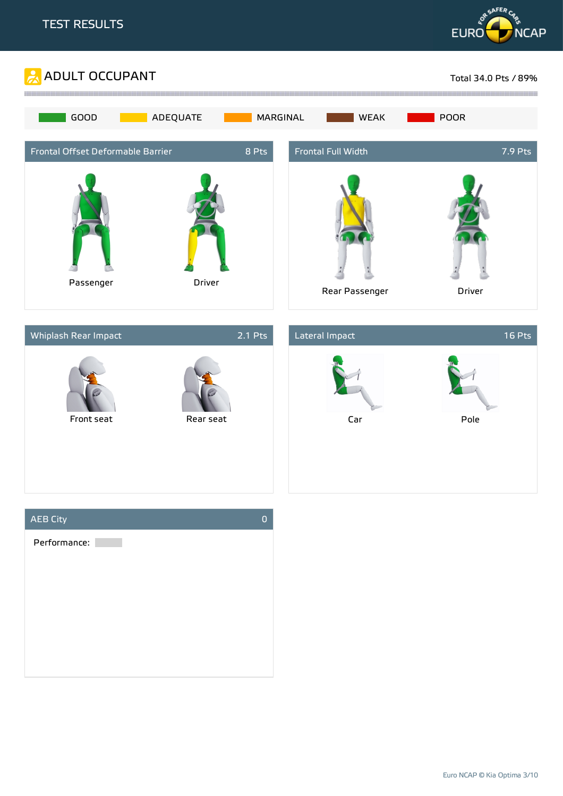







Euro NCAP © Kia Optima 3/10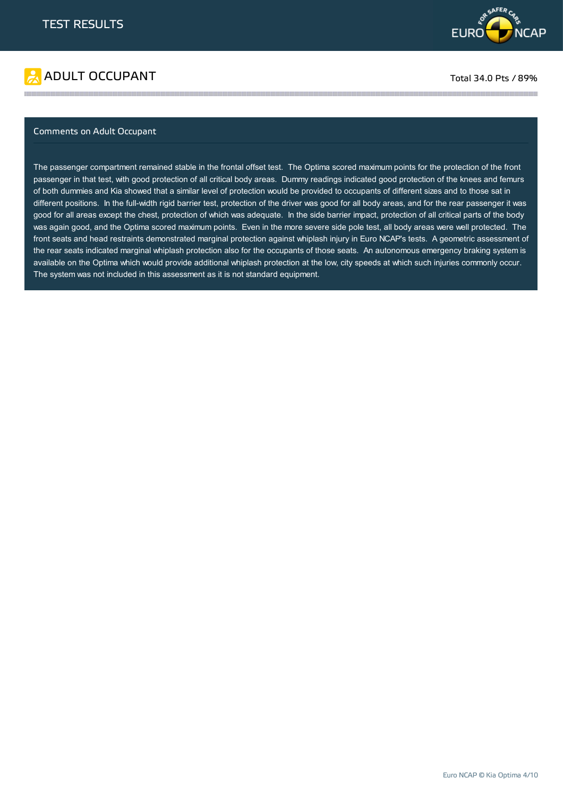

# ADULT OCCUPANT TO A REPORT TO A REPORT TO A REPORT TO A REPORT TO A REPORT TO A REPORT TO A REPORT TO A REPORT TO A REPORT TO A REPORT OF THE SAME OF THE SAME OF THE SAME OF THE SAME OF THE SAME OF THE SAME OF THE SAME OF

### Comments on Adult Occupant

The passenger compartment remained stable in the frontal offset test. The Optima scored maximum points for the protection of the front passenger in that test, with good protection of all critical body areas. Dummy readings indicated good protection of the knees and femurs of both dummies and Kia showed that a similar level of protection would be provided to occupants of different sizes and to those sat in different positions. In the full-width rigid barrier test, protection of the driver was good for all body areas, and for the rear passenger it was good for all areas except the chest, protection of which was adequate. In the side barrier impact, protection of all critical parts of the body was again good, and the Optima scored maximum points. Even in the more severe side pole test, all body areas were well protected. The front seats and head restraints demonstrated marginal protection against whiplash injury in Euro NCAP's tests. A geometric assessment of the rear seats indicated marginal whiplash protection also for the occupants of those seats. An autonomous emergency braking system is available on the Optima which would provide additional whiplash protection at the low, city speeds at which such injuries commonly occur. The system was not included in this assessment as it is not standard equipment.

the contract of the contract of the contract of the contract of the contract of the contract of the contract of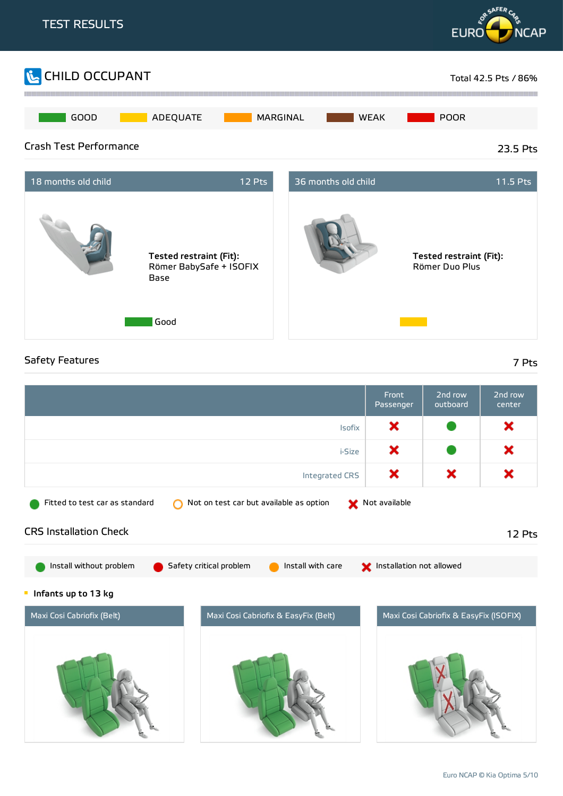

× × × Integrated CRS Fitted to test car as standard  $\bigcirc$  Not on test car but available as option  $\bigcirc$  Not available CRS Installation Check 12 Pts Install without problem G Safety critical problem G Install with care S Installation not allowed **Infants up to 13 kg** Maxi Cosi Cabriofix (Belt) Maxi Cosi Cabriofix & EasyFix (Belt) Maxi Cosi Cabriofix & EasyFix (ISOFIX)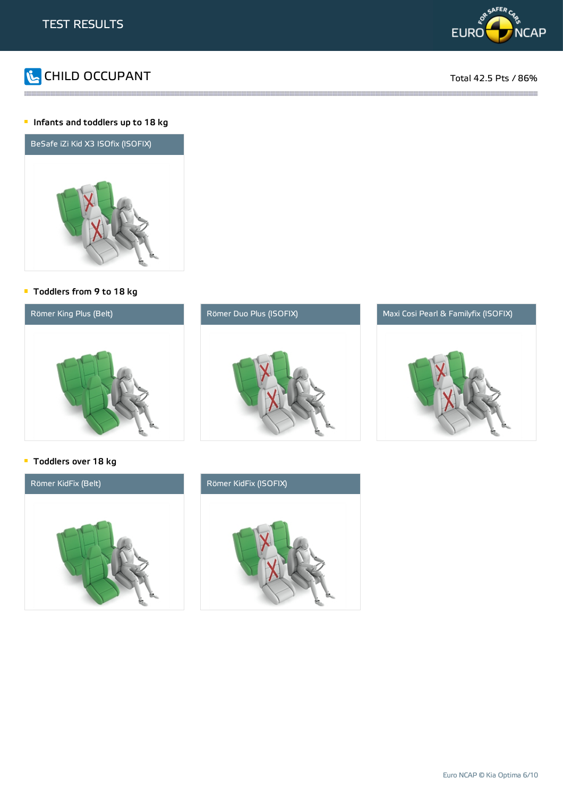



### **Infants and toddlers up to 18 kg**



### Toddlers from 9 to 18 kg



the contract of the contract of the contract of the contract of the contract of the contract of the contract of

### **Toddlers over 18 kg**



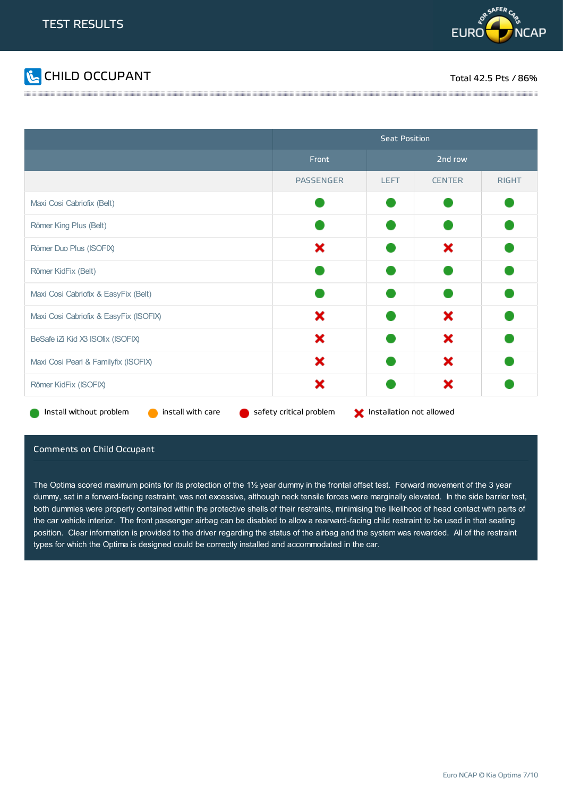



|                                              | <b>Seat Position</b>    |                          |               |              |
|----------------------------------------------|-------------------------|--------------------------|---------------|--------------|
|                                              | Front                   |                          | 2nd row       |              |
|                                              | <b>PASSENGER</b>        | <b>LEFT</b>              | <b>CENTER</b> | <b>RIGHT</b> |
| Maxi Cosi Cabriofix (Belt)                   |                         |                          |               |              |
| Römer King Plus (Belt)                       |                         |                          |               |              |
| Römer Duo Plus (ISOFIX)                      | ×                       |                          | ×             |              |
| Römer KidFix (Belt)                          |                         |                          |               |              |
| Maxi Cosi Cabriofix & EasyFix (Belt)         |                         |                          |               |              |
| Maxi Cosi Cabriofix & EasyFix (ISOFIX)       | ×                       |                          | ×             |              |
| BeSafe iZi Kid X3 ISOfix (ISOFIX)            | ×                       |                          | ×             |              |
| Maxi Cosi Pearl & Familyfix (ISOFIX)         | ×                       |                          | ×             |              |
| Römer KidFix (ISOFIX)                        | ×                       |                          | ×             |              |
| Install without problem<br>install with care | safety critical problem | Installation not allowed |               |              |

### Comments on Child Occupant

The Optima scored maximum points for its protection of the  $1\frac{1}{2}$  year dummy in the frontal offset test. Forward movement of the 3 year dummy, sat in a forward-facing restraint, was not excessive, although neck tensile forces were marginally elevated. In the side barrier test, both dummies were properly contained within the protective shells of their restraints, minimising the likelihood of head contact with parts of the car vehicle interior. The front passenger airbag can be disabled to allow a rearward-facing child restraint to be used in that seating position. Clear information is provided to the driver regarding the status of the airbag and the system was rewarded. All of the restraint types for which the Optima is designed could be correctly installed and accommodated in the car.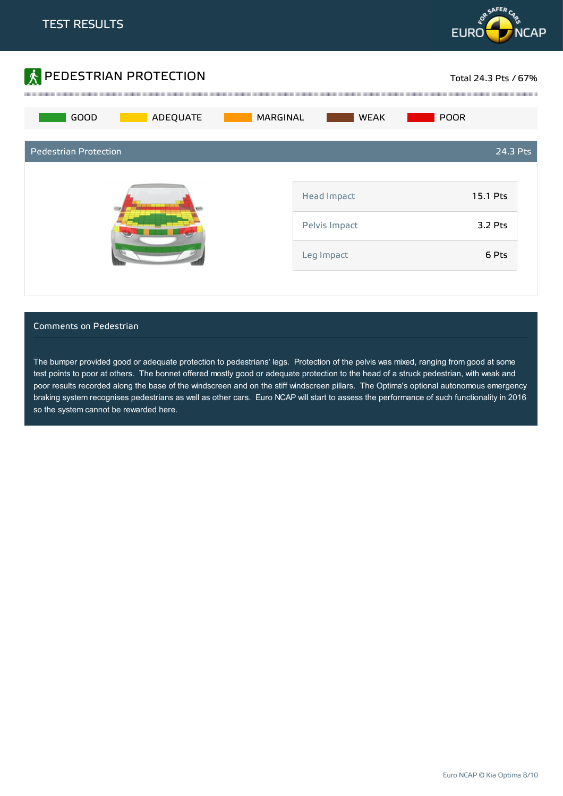



### Comments on Pedestrian

The bumper provided good or adequate protection to pedestrians' legs. Protection of the pelvis was mixed, ranging from good at some test points to poor at others. The bonnet offered mostly good or adequate protection to the head of a struck pedestrian, with weak and poor results recorded along the base of the windscreen and on the stiff windscreen pillars. The Optima's optional autonomous emergency braking system recognises pedestrians as well as other cars. Euro NCAP will start to assess the performance of such functionality in 2016 so the system cannot be rewarded here.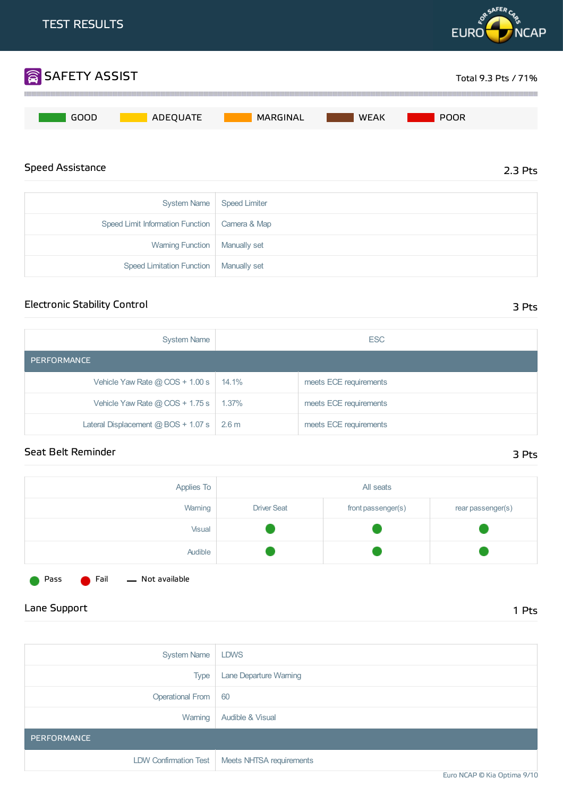

Warning Function | Manually set

Speed Limitation Function | Manually set

## Electronic Stability Control 3 Pts

| <b>System Name</b>                    | <b>ESC</b> |                        |
|---------------------------------------|------------|------------------------|
| PERFORMANCE                           |            |                        |
| Vehicle Yaw Rate $@$ COS + 1.00 s $ $ | $14.1\%$   | meets ECE requirements |
| Vehicle Yaw Rate $@$ COS + 1.75 s     | $1.37\%$   | meets ECE requirements |
| Lateral Displacement @ BOS + 1.07 s   | 2.6 m      | meets ECE requirements |

### Seat Belt Reminder 3 Pts

| Applies To |                    | All seats          |                   |
|------------|--------------------|--------------------|-------------------|
| Warning    | <b>Driver Seat</b> | front passenger(s) | rear passenger(s) |
| Visual     |                    |                    |                   |
| Audible    |                    |                    |                   |

Pass **C** Fail - Not available

## Lane Support 1 Pts

| <b>System Name</b>    | <b>LDWS</b>                                      |
|-----------------------|--------------------------------------------------|
| <b>Type</b>           | Lane Departure Warning                           |
| Operational From   60 |                                                  |
| Warning               | Audible & Visual                                 |
| PERFORMANCE           |                                                  |
|                       | LDW Confirmation Test   Meets NHTSA requirements |

Euro NCAP © Kia Optima 9/10